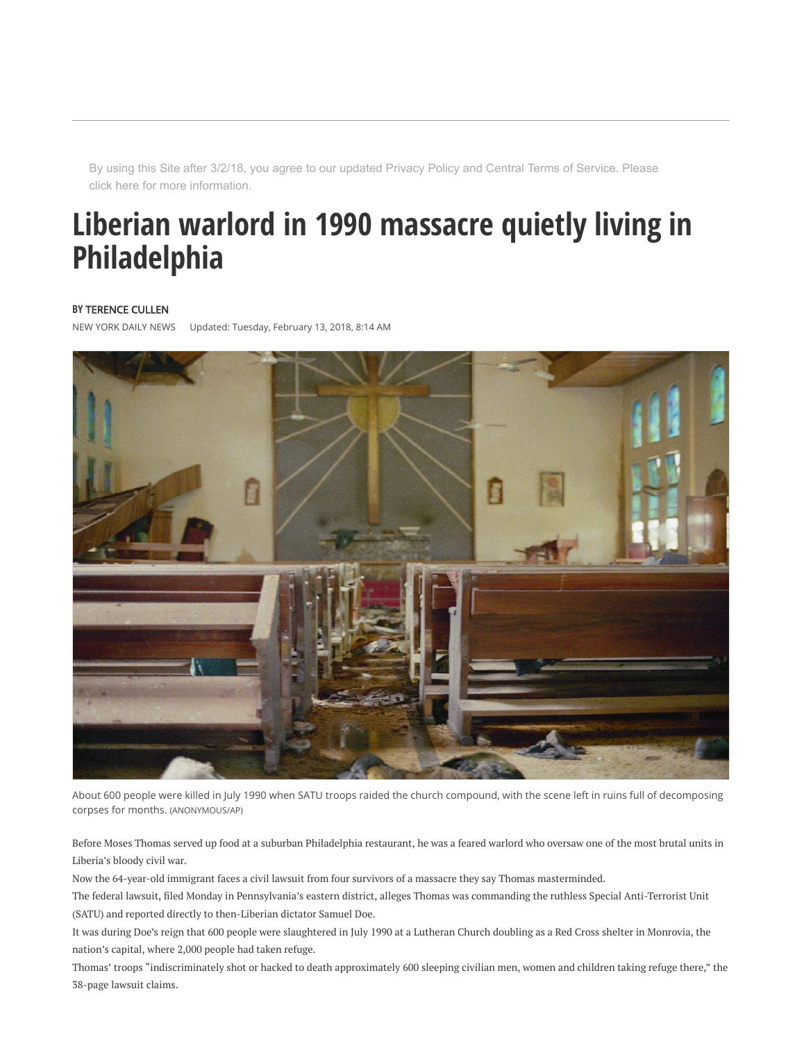By using this Site after 3/2/18, you agree to our updated [Privacy Policy](http://www.tronc.com/privacy-policy/) and [Central Terms of Service.](http://www.tronc.com/central-terms-of-service/) Please [click here](http://www.nydailynews.com/services/notice-of-acquisition) for more information.

## Liberian warlord in 1990 massacre quietly living in Philadelphia

## **BY [TERENCE CULLEN](http://www.nydailynews.com/authors?author=Terence-Cullen)**

NEW YORK DAILY NEWS Updated: Tuesday, February 13, 2018, 8:14 AM



About 600 people were killed in July 1990 when SATU troops raided the church compound, with the scene left in ruins full of decomposing corpses for months. (ANONYMOUS/AP)

Before Moses Thomas served up food at a suburban Philadelphia restaurant, he was a feared warlord who oversaw one of the most brutal units in Liberia's bloody civil war.

Now the 64-year-old immigrant faces a civil lawsuit from four survivors of a massacre they say Thomas masterminded.

The federal lawsuit, äled Monday in Pennsylvania's eastern district, alleges Thomas was commanding the ruthless Special Anti-Terrorist Unit (SATU) and reported directly to then-Liberian dictator Samuel Doe.

It was during Doe's reign that 600 people were slaughtered in July 1990 at a Lutheran Church doubling as a Red Cross shelter in Monrovia, the nation's capital, where 2,000 people had taken refuge.

Thomas' troops "indiscriminately shot or hacked to death approximately 600 sleeping civilian men, women and children taking refuge there," the 38-page lawsuit claims.